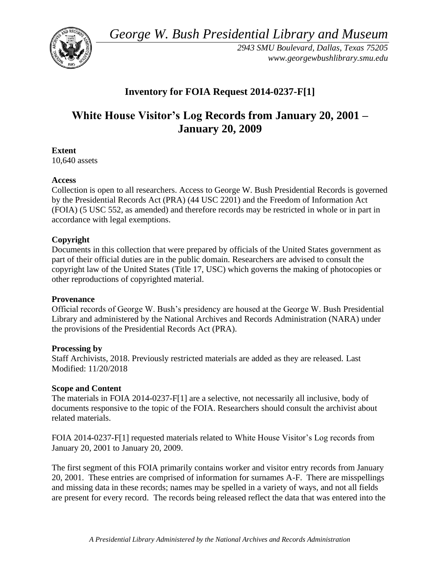*George W. Bush Presidential Library and Museum* 



*2943 SMU Boulevard, Dallas, Texas 75205 <www.georgewbushlibrary.smu.edu>* 

## **Inventory for FOIA Request 2014-0237-F[1]**

# **White House Visitor's Log Records from January 20, 2001 – January 20, 2009**

**Extent** 

10,640 assets

#### **Access**

Collection is open to all researchers. Access to George W. Bush Presidential Records is governed by the Presidential Records Act (PRA) (44 USC 2201) and the Freedom of Information Act (FOIA) (5 USC 552, as amended) and therefore records may be restricted in whole or in part in accordance with legal exemptions.

### **Copyright**

 Documents in this collection that were prepared by officials of the United States government as part of their official duties are in the public domain. Researchers are advised to consult the copyright law of the United States (Title 17, USC) which governs the making of photocopies or other reproductions of copyrighted material.

#### **Provenance**

Official records of George W. Bush's presidency are housed at the George W. Bush Presidential Library and administered by the National Archives and Records Administration (NARA) under the provisions of the Presidential Records Act (PRA).

#### **Processing by**

Staff Archivists, 2018. Previously restricted materials are added as they are released. Last Modified: 11/20/2018

#### **Scope and Content**

 documents responsive to the topic of the FOIA. Researchers should consult the archivist about The materials in FOIA 2014-0237-F[1] are a selective, not necessarily all inclusive, body of related materials.

FOIA 2014-0237-F[1] requested materials related to White House Visitor's Log records from January 20, 2001 to January 20, 2009.

The first segment of this FOIA primarily contains worker and visitor entry records from January 20, 2001. These entries are comprised of information for surnames A-F. There are misspellings and missing data in these records; names may be spelled in a variety of ways, and not all fields are present for every record. The records being released reflect the data that was entered into the